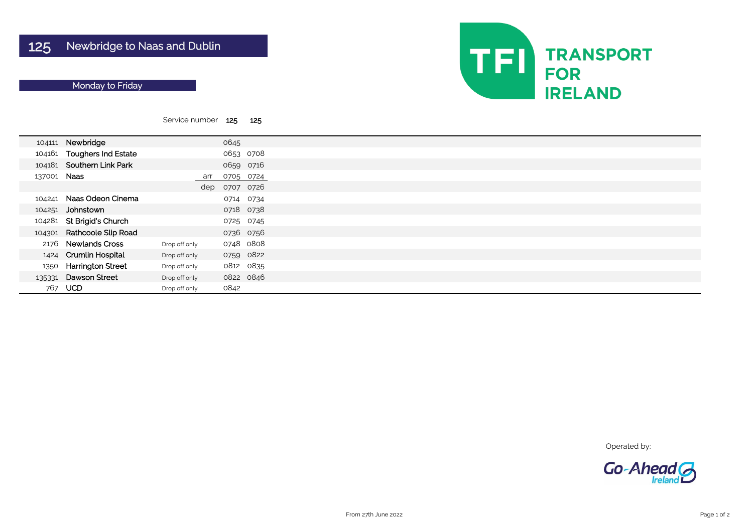|             |                            | Service number 125 |      | 125       |  |
|-------------|----------------------------|--------------------|------|-----------|--|
| 104111      | Newbridge                  |                    | 0645 |           |  |
|             | 104161 Toughers Ind Estate |                    |      | 0653 0708 |  |
|             | 104181 Southern Link Park  |                    |      | 0659 0716 |  |
| 137001 Naas |                            | arr                |      | 0705 0724 |  |
|             |                            | dep                |      | 0707 0726 |  |
| 104241      | Naas Odeon Cinema          |                    |      | 0714 0734 |  |
| 104251      | Johnstown                  |                    |      | 0718 0738 |  |
| 104281      | <b>St Brigid's Church</b>  |                    |      | 0725 0745 |  |
| 104301      | <b>Rathcoole Slip Road</b> |                    |      | 0736 0756 |  |
| 2176        | <b>Newlands Cross</b>      | Drop off only      |      | 0748 0808 |  |
| 1424        | <b>Crumlin Hospital</b>    | Drop off only      |      | 0759 0822 |  |
| 1350        | <b>Harrington Street</b>   | Drop off only      |      | 0812 0835 |  |
| 135331      | <b>Dawson Street</b>       | Drop off only      |      | 0822 0846 |  |
| 767         | <b>UCD</b>                 | Drop off only      | 0842 |           |  |



Operated by:



## Monday to Friday